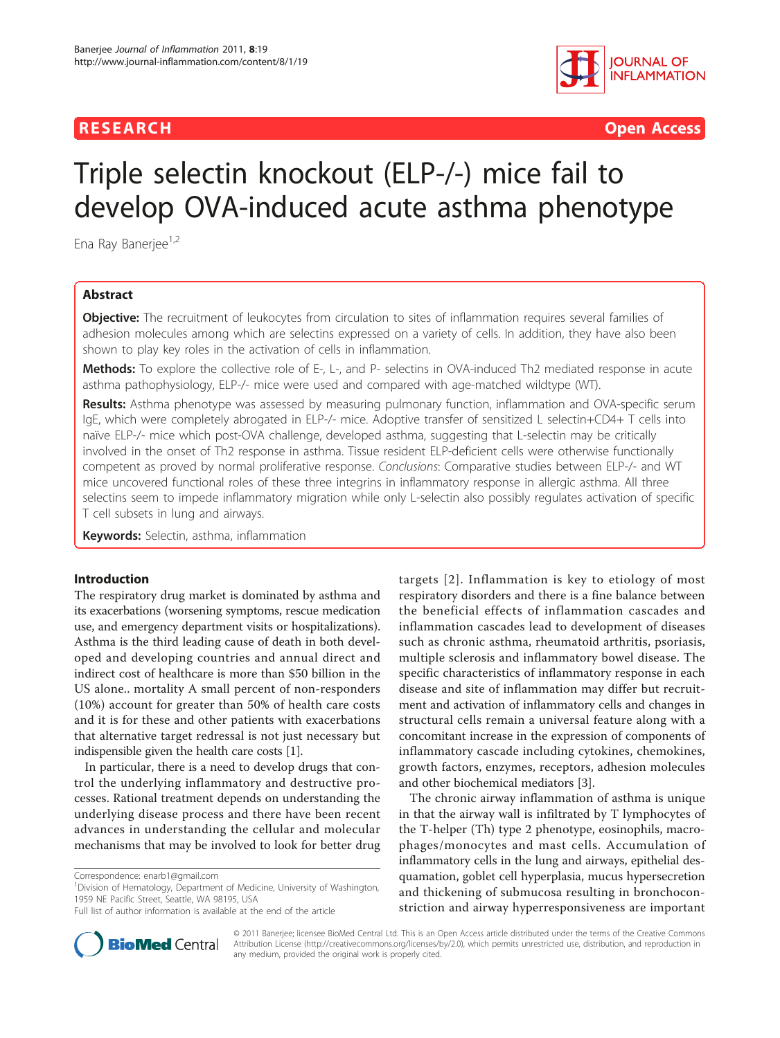## **RESEARCH Open Access**



# Triple selectin knockout (ELP-/-) mice fail to develop OVA-induced acute asthma phenotype

Ena Ray Banerjee<sup>1,2</sup>

## Abstract

**Objective:** The recruitment of leukocytes from circulation to sites of inflammation requires several families of adhesion molecules among which are selectins expressed on a variety of cells. In addition, they have also been shown to play key roles in the activation of cells in inflammation.

Methods: To explore the collective role of E-, L-, and P- selectins in OVA-induced Th2 mediated response in acute asthma pathophysiology, ELP-/- mice were used and compared with age-matched wildtype (WT).

Results: Asthma phenotype was assessed by measuring pulmonary function, inflammation and OVA-specific serum IgE, which were completely abrogated in ELP-/- mice. Adoptive transfer of sensitized L selectin+CD4+ T cells into naïve ELP-/- mice which post-OVA challenge, developed asthma, suggesting that L-selectin may be critically involved in the onset of Th2 response in asthma. Tissue resident ELP-deficient cells were otherwise functionally competent as proved by normal proliferative response. Conclusions: Comparative studies between ELP-/- and WT mice uncovered functional roles of these three integrins in inflammatory response in allergic asthma. All three selectins seem to impede inflammatory migration while only L-selectin also possibly regulates activation of specific T cell subsets in lung and airways.

Keywords: Selectin, asthma, inflammation

#### Introduction

The respiratory drug market is dominated by asthma and its exacerbations (worsening symptoms, rescue medication use, and emergency department visits or hospitalizations). Asthma is the third leading cause of death in both developed and developing countries and annual direct and indirect cost of healthcare is more than \$50 billion in the US alone.. mortality A small percent of non-responders (10%) account for greater than 50% of health care costs and it is for these and other patients with exacerbations that alternative target redressal is not just necessary but indispensible given the health care costs [\[1](#page-12-0)].

In particular, there is a need to develop drugs that control the underlying inflammatory and destructive processes. Rational treatment depends on understanding the underlying disease process and there have been recent advances in understanding the cellular and molecular mechanisms that may be involved to look for better drug



The chronic airway inflammation of asthma is unique in that the airway wall is infiltrated by T lymphocytes of the T-helper (Th) type 2 phenotype, eosinophils, macrophages/monocytes and mast cells. Accumulation of inflammatory cells in the lung and airways, epithelial desquamation, goblet cell hyperplasia, mucus hypersecretion and thickening of submucosa resulting in bronchoconstriction and airway hyperresponsiveness are important



© 2011 Banerjee; licensee BioMed Central Ltd. This is an Open Access article distributed under the terms of the Creative Commons Attribution License [\(http://creativecommons.org/licenses/by/2.0](http://creativecommons.org/licenses/by/2.0)), which permits unrestricted use, distribution, and reproduction in any medium, provided the original work is properly cited.

Correspondence: [enarb1@gmail.com](mailto:enarb1@gmail.com)

<sup>&</sup>lt;sup>1</sup> Division of Hematology, Department of Medicine, University of Washington, 1959 NE Pacific Street, Seattle, WA 98195, USA

Full list of author information is available at the end of the article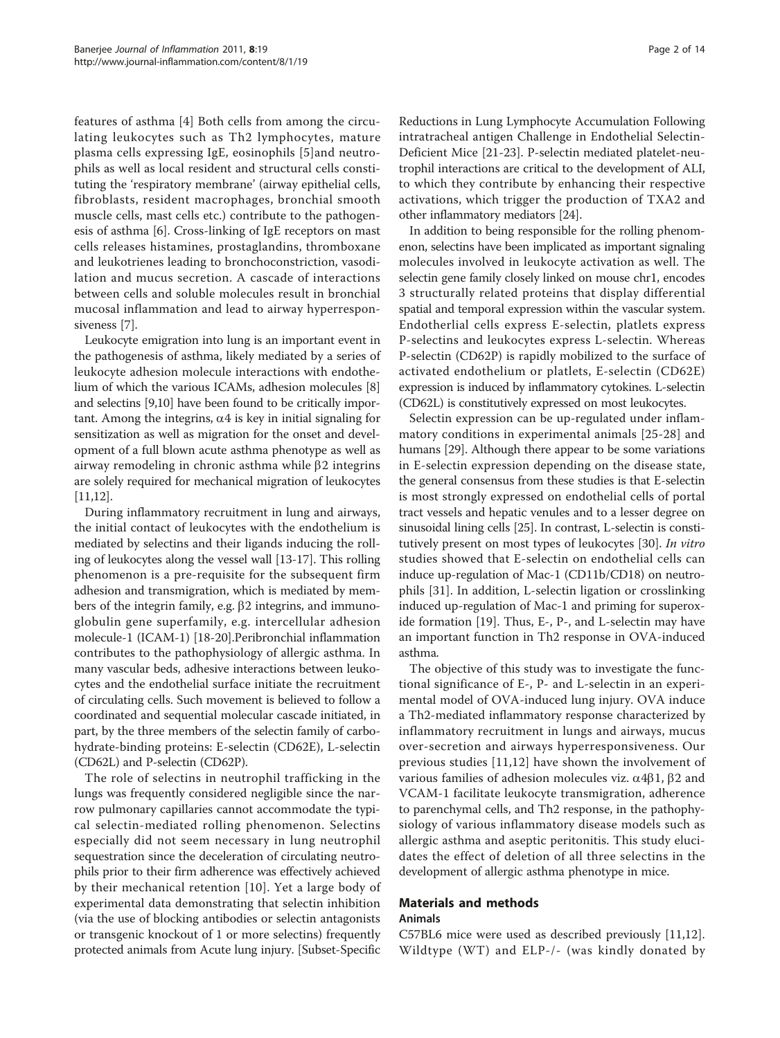features of asthma [[4\]](#page-12-0) Both cells from among the circulating leukocytes such as Th2 lymphocytes, mature plasma cells expressing IgE, eosinophils [[5\]](#page-12-0)and neutrophils as well as local resident and structural cells constituting the 'respiratory membrane' (airway epithelial cells, fibroblasts, resident macrophages, bronchial smooth muscle cells, mast cells etc.) contribute to the pathogenesis of asthma [[6\]](#page-12-0). Cross-linking of IgE receptors on mast cells releases histamines, prostaglandins, thromboxane and leukotrienes leading to bronchoconstriction, vasodilation and mucus secretion. A cascade of interactions between cells and soluble molecules result in bronchial mucosal inflammation and lead to airway hyperresponsiveness [\[7\]](#page-12-0).

Leukocyte emigration into lung is an important event in the pathogenesis of asthma, likely mediated by a series of leukocyte adhesion molecule interactions with endothelium of which the various ICAMs, adhesion molecules [[8](#page-12-0)] and selectins [\[9,10\]](#page-12-0) have been found to be critically important. Among the integrins,  $\alpha$ 4 is key in initial signaling for sensitization as well as migration for the onset and development of a full blown acute asthma phenotype as well as airway remodeling in chronic asthma while  $\beta$ 2 integrins are solely required for mechanical migration of leukocytes [[11,12\]](#page-12-0).

During inflammatory recruitment in lung and airways, the initial contact of leukocytes with the endothelium is mediated by selectins and their ligands inducing the rolling of leukocytes along the vessel wall [[13](#page-12-0)-[17](#page-12-0)]. This rolling phenomenon is a pre-requisite for the subsequent firm adhesion and transmigration, which is mediated by members of the integrin family, e.g.  $\beta$ 2 integrins, and immunoglobulin gene superfamily, e.g. intercellular adhesion molecule-1 (ICAM-1) [[18-20\]](#page-12-0).Peribronchial inflammation contributes to the pathophysiology of allergic asthma. In many vascular beds, adhesive interactions between leukocytes and the endothelial surface initiate the recruitment of circulating cells. Such movement is believed to follow a coordinated and sequential molecular cascade initiated, in part, by the three members of the selectin family of carbohydrate-binding proteins: E-selectin (CD62E), L-selectin (CD62L) and P-selectin (CD62P).

The role of selectins in neutrophil trafficking in the lungs was frequently considered negligible since the narrow pulmonary capillaries cannot accommodate the typical selectin-mediated rolling phenomenon. Selectins especially did not seem necessary in lung neutrophil sequestration since the deceleration of circulating neutrophils prior to their firm adherence was effectively achieved by their mechanical retention [[10\]](#page-12-0). Yet a large body of experimental data demonstrating that selectin inhibition (via the use of blocking antibodies or selectin antagonists or transgenic knockout of 1 or more selectins) frequently protected animals from Acute lung injury. [Subset-Specific

Reductions in Lung Lymphocyte Accumulation Following intratracheal antigen Challenge in Endothelial Selectin-Deficient Mice [\[21](#page-12-0)-[23\]](#page-13-0). P-selectin mediated platelet-neutrophil interactions are critical to the development of ALI, to which they contribute by enhancing their respective activations, which trigger the production of TXA2 and other inflammatory mediators [[24](#page-13-0)].

In addition to being responsible for the rolling phenomenon, selectins have been implicated as important signaling molecules involved in leukocyte activation as well. The selectin gene family closely linked on mouse chr1, encodes 3 structurally related proteins that display differential spatial and temporal expression within the vascular system. Endotherlial cells express E-selectin, platlets express P-selectins and leukocytes express L-selectin. Whereas P-selectin (CD62P) is rapidly mobilized to the surface of activated endothelium or platlets, E-selectin (CD62E) expression is induced by inflammatory cytokines. L-selectin (CD62L) is constitutively expressed on most leukocytes.

Selectin expression can be up-regulated under inflammatory conditions in experimental animals [[25-28\]](#page-13-0) and humans [\[29\]](#page-13-0). Although there appear to be some variations in E-selectin expression depending on the disease state, the general consensus from these studies is that E-selectin is most strongly expressed on endothelial cells of portal tract vessels and hepatic venules and to a lesser degree on sinusoidal lining cells [\[25\]](#page-13-0). In contrast, L-selectin is constitutively present on most types of leukocytes [[30](#page-13-0)]. In vitro studies showed that E-selectin on endothelial cells can induce up-regulation of Mac-1 (CD11b/CD18) on neutrophils [[31\]](#page-13-0). In addition, L-selectin ligation or crosslinking induced up-regulation of Mac-1 and priming for superoxide formation [[19](#page-12-0)]. Thus, E-, P-, and L-selectin may have an important function in Th2 response in OVA-induced asthma.

The objective of this study was to investigate the functional significance of E-, P- and L-selectin in an experimental model of OVA-induced lung injury. OVA induce a Th2-mediated inflammatory response characterized by inflammatory recruitment in lungs and airways, mucus over-secretion and airways hyperresponsiveness. Our previous studies [[11,12](#page-12-0)] have shown the involvement of various families of adhesion molecules viz.  $\alpha$ 4 $\beta$ 1,  $\beta$ 2 and VCAM-1 facilitate leukocyte transmigration, adherence to parenchymal cells, and Th2 response, in the pathophysiology of various inflammatory disease models such as allergic asthma and aseptic peritonitis. This study elucidates the effect of deletion of all three selectins in the development of allergic asthma phenotype in mice.

# Materials and methods

## Animals

C57BL6 mice were used as described previously [\[11,12](#page-12-0)]. Wildtype (WT) and ELP-/- (was kindly donated by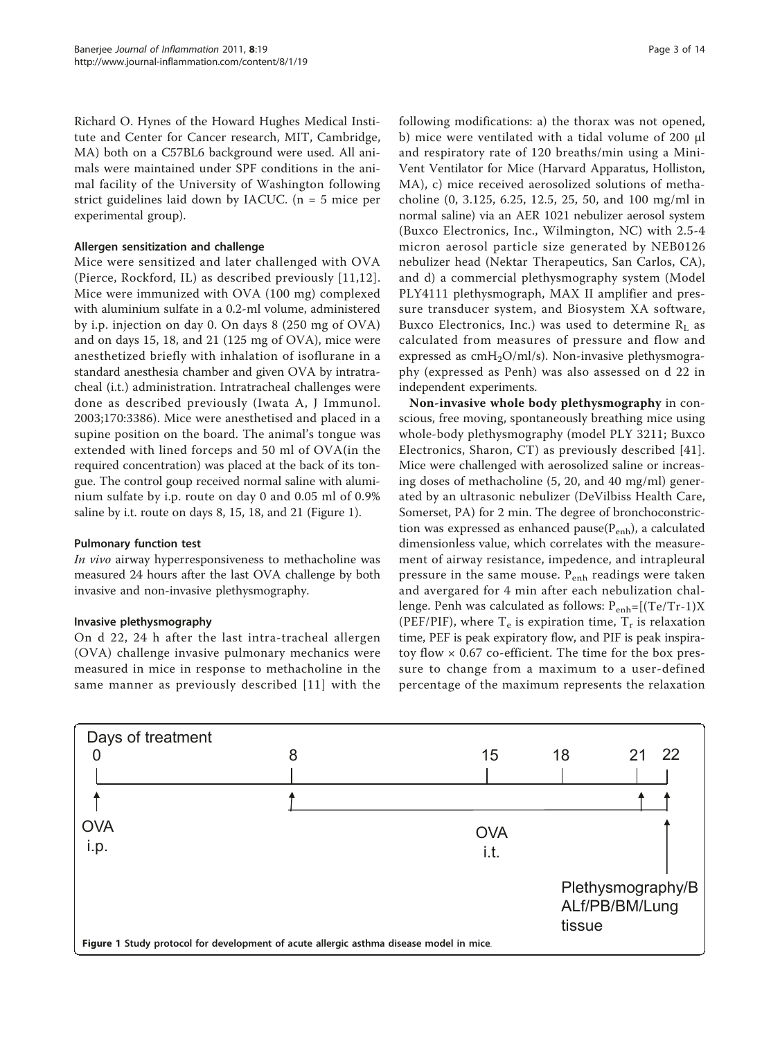<span id="page-2-0"></span>Richard O. Hynes of the Howard Hughes Medical Institute and Center for Cancer research, MIT, Cambridge, MA) both on a C57BL6 background were used. All animals were maintained under SPF conditions in the animal facility of the University of Washington following strict guidelines laid down by IACUC. (n = 5 mice per experimental group).

#### Allergen sensitization and challenge

Mice were sensitized and later challenged with OVA (Pierce, Rockford, IL) as described previously [[11](#page-12-0),[12\]](#page-12-0). Mice were immunized with OVA (100 mg) complexed with aluminium sulfate in a 0.2-ml volume, administered by i.p. injection on day 0. On days 8 (250 mg of OVA) and on days 15, 18, and 21 (125 mg of OVA), mice were anesthetized briefly with inhalation of isoflurane in a standard anesthesia chamber and given OVA by intratracheal (i.t.) administration. Intratracheal challenges were done as described previously (Iwata A, J Immunol. 2003;170:3386). Mice were anesthetised and placed in a supine position on the board. The animal's tongue was extended with lined forceps and 50 ml of OVA(in the required concentration) was placed at the back of its tongue. The control goup received normal saline with aluminium sulfate by i.p. route on day 0 and 0.05 ml of 0.9% saline by i.t. route on days 8, 15, 18, and 21 (Figure 1).

#### Pulmonary function test

In vivo airway hyperresponsiveness to methacholine was measured 24 hours after the last OVA challenge by both invasive and non-invasive plethysmography.

#### Invasive plethysmography

On d 22, 24 h after the last intra-tracheal allergen (OVA) challenge invasive pulmonary mechanics were measured in mice in response to methacholine in the same manner as previously described [[11\]](#page-12-0) with the

following modifications: a) the thorax was not opened, b) mice were ventilated with a tidal volume of 200 μl and respiratory rate of 120 breaths/min using a Mini-Vent Ventilator for Mice (Harvard Apparatus, Holliston, MA), c) mice received aerosolized solutions of methacholine (0, 3.125, 6.25, 12.5, 25, 50, and 100 mg/ml in normal saline) via an AER 1021 nebulizer aerosol system (Buxco Electronics, Inc., Wilmington, NC) with 2.5-4 micron aerosol particle size generated by NEB0126 nebulizer head (Nektar Therapeutics, San Carlos, CA), and d) a commercial plethysmography system (Model PLY4111 plethysmograph, MAX II amplifier and pressure transducer system, and Biosystem XA software, Buxco Electronics, Inc.) was used to determine  $R_L$  as calculated from measures of pressure and flow and expressed as  $cmH<sub>2</sub>O/ml/s$ ). Non-invasive plethysmography (expressed as Penh) was also assessed on d 22 in independent experiments.

Non-invasive whole body plethysmography in conscious, free moving, spontaneously breathing mice using whole-body plethysmography (model PLY 3211; Buxco Electronics, Sharon, CT) as previously described [[41\]](#page-13-0). Mice were challenged with aerosolized saline or increasing doses of methacholine (5, 20, and 40 mg/ml) generated by an ultrasonic nebulizer (DeVilbiss Health Care, Somerset, PA) for 2 min. The degree of bronchoconstriction was expressed as enhanced pause( $P_{\text{enh}}$ ), a calculated dimensionless value, which correlates with the measurement of airway resistance, impedence, and intrapleural pressure in the same mouse.  $P_{enh}$  readings were taken and avergared for 4 min after each nebulization challenge. Penh was calculated as follows:  $P_{enh}=[(Te/Tr-1)X]$ (PEF/PIF), where  $T_e$  is expiration time,  $T_r$  is relaxation time, PEF is peak expiratory flow, and PIF is peak inspiratoy flow  $\times$  0.67 co-efficient. The time for the box pressure to change from a maximum to a user-defined percentage of the maximum represents the relaxation

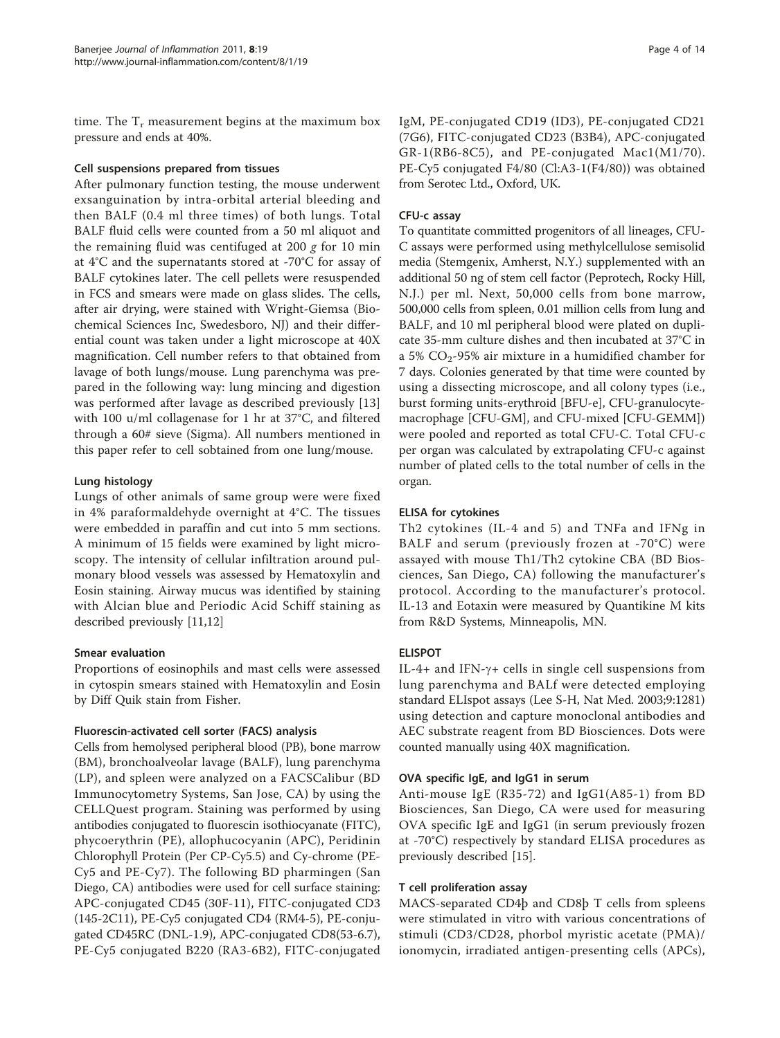time. The  $T_r$  measurement begins at the maximum box pressure and ends at 40%.

#### Cell suspensions prepared from tissues

After pulmonary function testing, the mouse underwent exsanguination by intra-orbital arterial bleeding and then BALF (0.4 ml three times) of both lungs. Total BALF fluid cells were counted from a 50 ml aliquot and the remaining fluid was centifuged at 200  $g$  for 10 min at 4°C and the supernatants stored at -70°C for assay of BALF cytokines later. The cell pellets were resuspended in FCS and smears were made on glass slides. The cells, after air drying, were stained with Wright-Giemsa (Biochemical Sciences Inc, Swedesboro, NJ) and their differential count was taken under a light microscope at 40X magnification. Cell number refers to that obtained from lavage of both lungs/mouse. Lung parenchyma was prepared in the following way: lung mincing and digestion was performed after lavage as described previously [\[13](#page-12-0)] with 100 u/ml collagenase for 1 hr at 37°C, and filtered through a 60# sieve (Sigma). All numbers mentioned in this paper refer to cell sobtained from one lung/mouse.

#### Lung histology

Lungs of other animals of same group were were fixed in 4% paraformaldehyde overnight at 4°C. The tissues were embedded in paraffin and cut into 5 mm sections. A minimum of 15 fields were examined by light microscopy. The intensity of cellular infiltration around pulmonary blood vessels was assessed by Hematoxylin and Eosin staining. Airway mucus was identified by staining with Alcian blue and Periodic Acid Schiff staining as described previously [\[11,12\]](#page-12-0)

#### Smear evaluation

Proportions of eosinophils and mast cells were assessed in cytospin smears stained with Hematoxylin and Eosin by Diff Quik stain from Fisher.

#### Fluorescin-activated cell sorter (FACS) analysis

Cells from hemolysed peripheral blood (PB), bone marrow (BM), bronchoalveolar lavage (BALF), lung parenchyma (LP), and spleen were analyzed on a FACSCalibur (BD Immunocytometry Systems, San Jose, CA) by using the CELLQuest program. Staining was performed by using antibodies conjugated to fluorescin isothiocyanate (FITC), phycoerythrin (PE), allophucocyanin (APC), Peridinin Chlorophyll Protein (Per CP-Cy5.5) and Cy-chrome (PE-Cy5 and PE-Cy7). The following BD pharmingen (San Diego, CA) antibodies were used for cell surface staining: APC-conjugated CD45 (30F-11), FITC-conjugated CD3 (145-2C11), PE-Cy5 conjugated CD4 (RM4-5), PE-conjugated CD45RC (DNL-1.9), APC-conjugated CD8(53-6.7), PE-Cy5 conjugated B220 (RA3-6B2), FITC-conjugated IgM, PE-conjugated CD19 (ID3), PE-conjugated CD21 (7G6), FITC-conjugated CD23 (B3B4), APC-conjugated GR-1(RB6-8C5), and PE-conjugated Mac1(M1/70). PE-Cy5 conjugated F4/80 (Cl:A3-1(F4/80)) was obtained from Serotec Ltd., Oxford, UK.

#### CFU-c assay

To quantitate committed progenitors of all lineages, CFU-C assays were performed using methylcellulose semisolid media (Stemgenix, Amherst, N.Y.) supplemented with an additional 50 ng of stem cell factor (Peprotech, Rocky Hill, N.J.) per ml. Next, 50,000 cells from bone marrow, 500,000 cells from spleen, 0.01 million cells from lung and BALF, and 10 ml peripheral blood were plated on duplicate 35-mm culture dishes and then incubated at 37°C in a 5%  $CO<sub>2</sub>$ -95% air mixture in a humidified chamber for 7 days. Colonies generated by that time were counted by using a dissecting microscope, and all colony types (i.e., burst forming units-erythroid [BFU-e], CFU-granulocytemacrophage [CFU-GM], and CFU-mixed [CFU-GEMM]) were pooled and reported as total CFU-C. Total CFU-c per organ was calculated by extrapolating CFU-c against number of plated cells to the total number of cells in the organ.

#### ELISA for cytokines

Th2 cytokines (IL-4 and 5) and TNFa and IFNg in BALF and serum (previously frozen at -70°C) were assayed with mouse Th1/Th2 cytokine CBA (BD Biosciences, San Diego, CA) following the manufacturer's protocol. According to the manufacturer's protocol. IL-13 and Eotaxin were measured by Quantikine M kits from R&D Systems, Minneapolis, MN.

#### ELISPOT

IL-4+ and IFN- $\gamma$ + cells in single cell suspensions from lung parenchyma and BALf were detected employing standard ELIspot assays (Lee S-H, Nat Med. 2003;9:1281) using detection and capture monoclonal antibodies and AEC substrate reagent from BD Biosciences. Dots were counted manually using 40X magnification.

#### OVA specific IgE, and IgG1 in serum

Anti-mouse IgE (R35-72) and IgG1(A85-1) from BD Biosciences, San Diego, CA were used for measuring OVA specific IgE and IgG1 (in serum previously frozen at -70°C) respectively by standard ELISA procedures as previously described [\[15\]](#page-12-0).

#### T cell proliferation assay

MACS-separated CD4þ and CD8þ T cells from spleens were stimulated in vitro with various concentrations of stimuli (CD3/CD28, phorbol myristic acetate (PMA)/ ionomycin, irradiated antigen-presenting cells (APCs),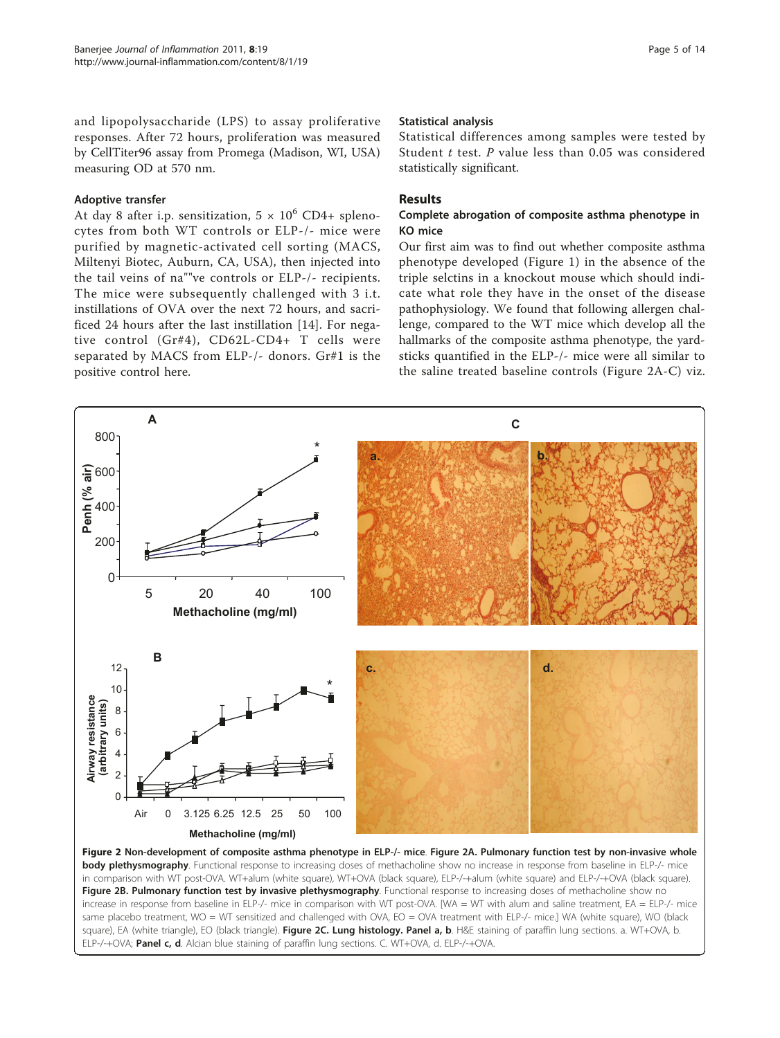and lipopolysaccharide (LPS) to assay proliferative responses. After 72 hours, proliferation was measured by CellTiter96 assay from Promega (Madison, WI, USA) measuring OD at 570 nm.

#### Adoptive transfer

At day 8 after i.p. sensitization,  $5 \times 10^6$  CD4+ splenocytes from both WT controls or ELP-/- mice were purified by magnetic-activated cell sorting (MACS, Miltenyi Biotec, Auburn, CA, USA), then injected into the tail veins of na""ve controls or ELP-/- recipients. The mice were subsequently challenged with 3 i.t. instillations of OVA over the next 72 hours, and sacrificed 24 hours after the last instillation [[14\]](#page-12-0). For negative control (Gr#4), CD62L-CD4+ T cells were separated by MACS from ELP-/- donors. Gr#1 is the positive control here.

#### Statistical analysis

Statistical differences among samples were tested by Student  $t$  test.  $P$  value less than 0.05 was considered statistically significant.

#### Results

#### Complete abrogation of composite asthma phenotype in KO mice

Our first aim was to find out whether composite asthma phenotype developed (Figure [1\)](#page-2-0) in the absence of the triple selctins in a knockout mouse which should indicate what role they have in the onset of the disease pathophysiology. We found that following allergen challenge, compared to the WT mice which develop all the hallmarks of the composite asthma phenotype, the yardsticks quantified in the ELP-/- mice were all similar to the saline treated baseline controls (Figure 2A-C) viz.



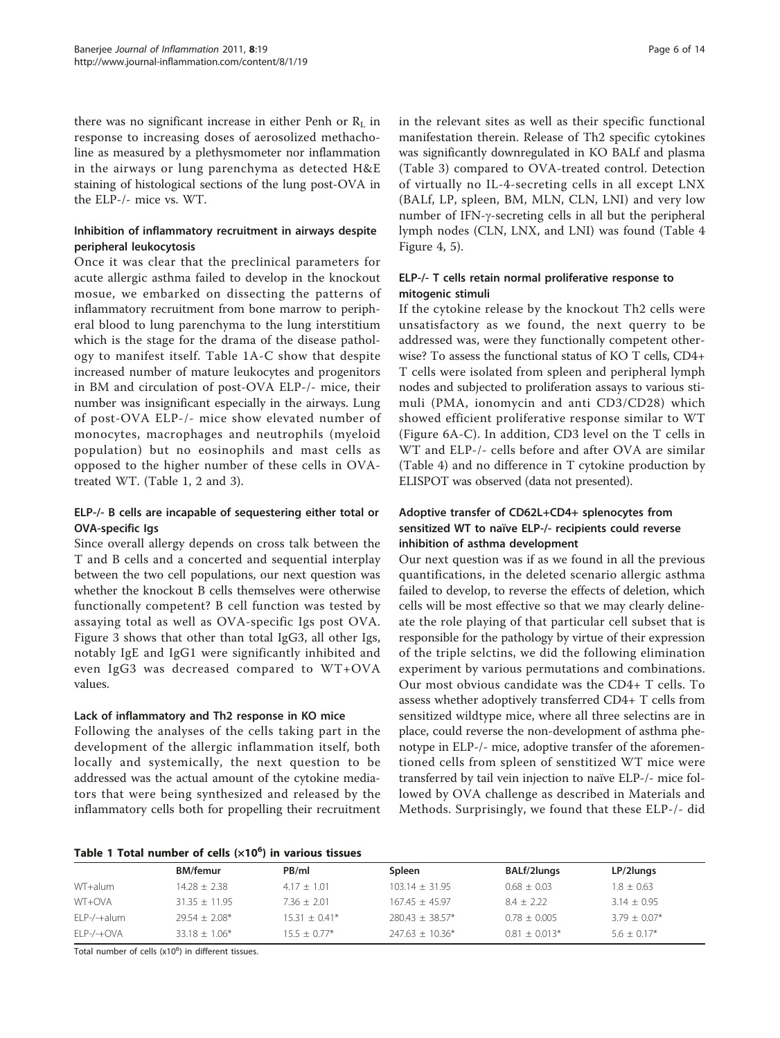<span id="page-5-0"></span>there was no significant increase in either Penh or  $R_L$  in response to increasing doses of aerosolized methacholine as measured by a plethysmometer nor inflammation in the airways or lung parenchyma as detected H&E staining of histological sections of the lung post-OVA in the ELP-/- mice vs. WT.

## Inhibition of inflammatory recruitment in airways despite peripheral leukocytosis

Once it was clear that the preclinical parameters for acute allergic asthma failed to develop in the knockout mosue, we embarked on dissecting the patterns of inflammatory recruitment from bone marrow to peripheral blood to lung parenchyma to the lung interstitium which is the stage for the drama of the disease pathology to manifest itself. Table 1A-C show that despite increased number of mature leukocytes and progenitors in BM and circulation of post-OVA ELP-/- mice, their number was insignificant especially in the airways. Lung of post-OVA ELP-/- mice show elevated number of monocytes, macrophages and neutrophils (myeloid population) but no eosinophils and mast cells as opposed to the higher number of these cells in OVAtreated WT. (Table 1, [2](#page-6-0) and [3\)](#page-6-0).

## ELP-/- B cells are incapable of sequestering either total or OVA-specific Igs

Since overall allergy depends on cross talk between the T and B cells and a concerted and sequential interplay between the two cell populations, our next question was whether the knockout B cells themselves were otherwise functionally competent? B cell function was tested by assaying total as well as OVA-specific Igs post OVA. Figure [3](#page-6-0) shows that other than total IgG3, all other Igs, notably IgE and IgG1 were significantly inhibited and even IgG3 was decreased compared to WT+OVA values.

#### Lack of inflammatory and Th2 response in KO mice

Following the analyses of the cells taking part in the development of the allergic inflammation itself, both locally and systemically, the next question to be addressed was the actual amount of the cytokine mediators that were being synthesized and released by the inflammatory cells both for propelling their recruitment in the relevant sites as well as their specific functional manifestation therein. Release of Th2 specific cytokines was significantly downregulated in KO BALf and plasma (Table [3](#page-6-0)) compared to OVA-treated control. Detection of virtually no IL-4-secreting cells in all except LNX (BALf, LP, spleen, BM, MLN, CLN, LNI) and very low number of IFN- $\gamma$ -secreting cells in all but the peripheral lymph nodes (CLN, LNX, and LNI) was found (Table [4](#page-7-0) Figure [4](#page-8-0), [5\)](#page-9-0).

## ELP-/- T cells retain normal proliferative response to mitogenic stimuli

If the cytokine release by the knockout Th2 cells were unsatisfactory as we found, the next querry to be addressed was, were they functionally competent otherwise? To assess the functional status of KO T cells, CD4+ T cells were isolated from spleen and peripheral lymph nodes and subjected to proliferation assays to various stimuli (PMA, ionomycin and anti CD3/CD28) which showed efficient proliferative response similar to WT (Figure [6A-C](#page-10-0)). In addition, CD3 level on the T cells in WT and ELP-/- cells before and after OVA are similar (Table [4](#page-7-0)) and no difference in T cytokine production by ELISPOT was observed (data not presented).

### Adoptive transfer of CD62L+CD4+ splenocytes from sensitized WT to naïve ELP-/- recipients could reverse inhibition of asthma development

Our next question was if as we found in all the previous quantifications, in the deleted scenario allergic asthma failed to develop, to reverse the effects of deletion, which cells will be most effective so that we may clearly delineate the role playing of that particular cell subset that is responsible for the pathology by virtue of their expression of the triple selctins, we did the following elimination experiment by various permutations and combinations. Our most obvious candidate was the CD4+ T cells. To assess whether adoptively transferred CD4+ T cells from sensitized wildtype mice, where all three selectins are in place, could reverse the non-development of asthma phenotype in ELP-/- mice, adoptive transfer of the aforementioned cells from spleen of senstitized WT mice were transferred by tail vein injection to naïve ELP-/- mice followed by OVA challenge as described in Materials and Methods. Surprisingly, we found that these ELP-/- did

## Table 1 Total number of cells  $(x10^6)$  in various tissues

|                | <b>BM/femur</b>   | PB/ml           | Spleen              | BALf/2lungs     | LP/2lungs        |
|----------------|-------------------|-----------------|---------------------|-----------------|------------------|
| WT+alum        | $14.28 + 2.38$    | $4.17 + 1.01$   | $103.14 + 31.95$    | $0.68 + 0.03$   | $1.8 \pm 0.63$   |
| WT+OVA         | $31.35 \pm 11.95$ | $7.36 + 2.01$   | $167.45 + 45.97$    | $8.4 + 2.22$    | $3.14 \pm 0.95$  |
| $FIP-/-+$ alum | $29.54 + 2.08*$   | $15.31 + 0.41*$ | $280.43 + 38.57*$   | $0.78 + 0.005$  | $3.79 \pm 0.07*$ |
| ELP-/-+OVA     | $33.18 + 1.06*$   | $15.5 + 0.77*$  | $247.63 \pm 10.36*$ | $0.81 + 0.013*$ | $5.6 \pm 0.17$ * |

Total number of cells  $(x10^6)$  in different tissues.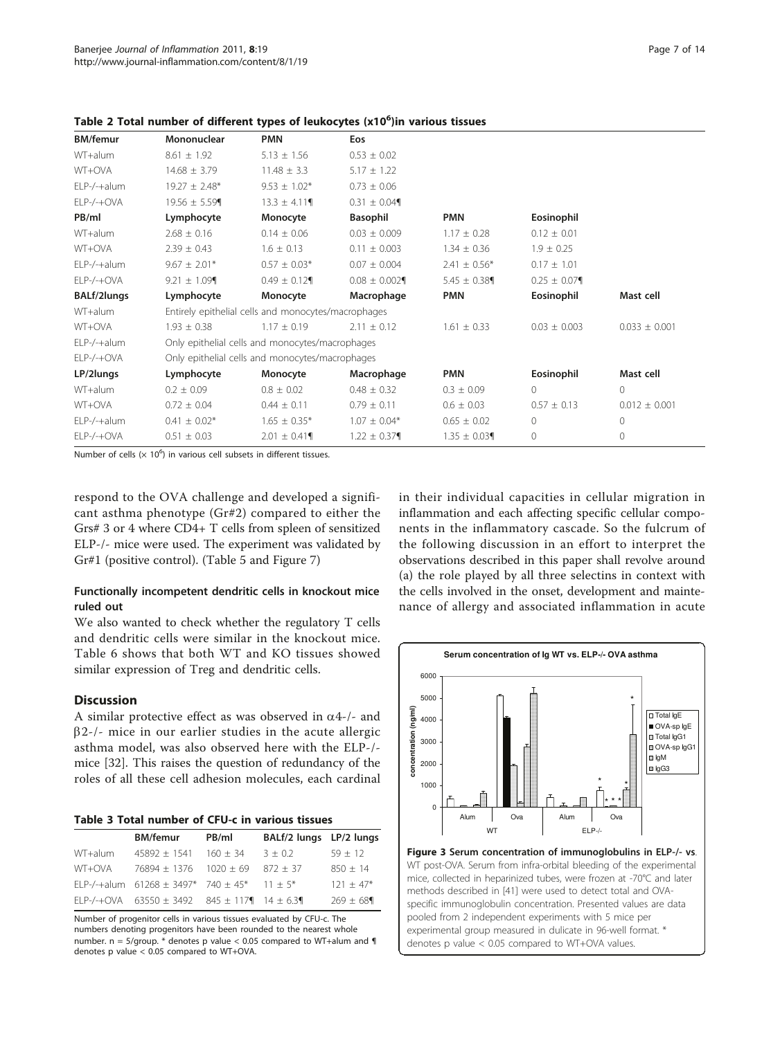| <b>BM/femur</b>    | Mononuclear       | <b>PMN</b>                                          | Eos              |                  |                  |                   |
|--------------------|-------------------|-----------------------------------------------------|------------------|------------------|------------------|-------------------|
| WT+alum            | $8.61 \pm 1.92$   | $5.13 \pm 1.56$                                     | $0.53 \pm 0.02$  |                  |                  |                   |
| WT+OVA             | $14.68 \pm 3.79$  | $11.48 \pm 3.3$                                     | $5.17 \pm 1.22$  |                  |                  |                   |
| $ELP-/-+alum$      | $19.27 \pm 2.48*$ | $9.53 \pm 1.02*$                                    | $0.73 \pm 0.06$  |                  |                  |                   |
| ELP-/-+OVA         | $19.56 \pm 5.59$  | $13.3 \pm 4.11$                                     | $0.31 \pm 0.04$  |                  |                  |                   |
| PB/ml              | Lymphocyte        | Monocyte                                            | <b>Basophil</b>  | <b>PMN</b>       | Eosinophil       |                   |
| WT+alum            | $2.68 \pm 0.16$   | $0.14 \pm 0.06$                                     | $0.03 \pm 0.009$ | $1.17 \pm 0.28$  | $0.12 \pm 0.01$  |                   |
| WT+OVA             | $2.39 \pm 0.43$   | $1.6 \pm 0.13$                                      | $0.11 \pm 0.003$ | $1.34 \pm 0.36$  | $1.9 \pm 0.25$   |                   |
| $ELP-/-+alum$      | $9.67 \pm 2.01*$  | $0.57 \pm 0.03*$                                    | $0.07 \pm 0.004$ | $2.41 \pm 0.56*$ | $0.17 \pm 1.01$  |                   |
| ELP-/-+OVA         | $9.21 \pm 1.09$   | $0.49 \pm 0.12$                                     | $0.08 \pm 0.002$ | $5.45 \pm 0.38$  | $0.25 \pm 0.07$  |                   |
| <b>BALf/2lungs</b> | Lymphocyte        | Monocyte                                            | Macrophage       | <b>PMN</b>       | Eosinophil       | Mast cell         |
| WT+alum            |                   | Entirely epithelial cells and monocytes/macrophages |                  |                  |                  |                   |
| WT+OVA             | $1.93 \pm 0.38$   | $1.17 \pm 0.19$                                     | $2.11 \pm 0.12$  | $1.61 \pm 0.33$  | $0.03 \pm 0.003$ | $0.033 \pm 0.001$ |
| $ELP-/-+alum$      |                   | Only epithelial cells and monocytes/macrophages     |                  |                  |                  |                   |
| ELP-/-+OVA         |                   | Only epithelial cells and monocytes/macrophages     |                  |                  |                  |                   |
| LP/2lungs          | Lymphocyte        | Monocyte                                            | Macrophage       | <b>PMN</b>       | Eosinophil       | Mast cell         |
| WT+alum            | $0.2 \pm 0.09$    | $0.8 \pm 0.02$                                      | $0.48 \pm 0.32$  | $0.3 \pm 0.09$   | 0                | 0                 |
| WT+OVA             | $0.72 \pm 0.04$   | $0.44 \pm 0.11$                                     | $0.79 \pm 0.11$  | $0.6 \pm 0.03$   | $0.57 \pm 0.13$  | $0.012 \pm 0.001$ |
| $ELP-/-+alum$      | $0.41 \pm 0.02*$  | $1.65 \pm 0.35*$                                    | $1.07 \pm 0.04*$ | $0.65 \pm 0.02$  | $\Omega$         | 0                 |
| ELP-/-+OVA         | $0.51 \pm 0.03$   | $2.01 \pm 0.41$                                     | $1.22 \pm 0.37$  | $1.35 \pm 0.03$  | 0                | 0                 |

<span id="page-6-0"></span>Table 2 Total number of different types of leukocytes (x10<sup>6</sup>)in various tissues

Number of cells  $(x 10^6)$  in various cell subsets in different tissues.

respond to the OVA challenge and developed a significant asthma phenotype (Gr#2) compared to either the Grs# 3 or 4 where CD4+ T cells from spleen of sensitized ELP-/- mice were used. The experiment was validated by Gr#1 (positive control). (Table [5](#page-10-0) and Figure [7\)](#page-11-0)

#### Functionally incompetent dendritic cells in knockout mice ruled out

We also wanted to check whether the regulatory T cells and dendritic cells were similar in the knockout mice. Table [6](#page-11-0) shows that both WT and KO tissues showed similar expression of Treg and dendritic cells.

#### **Discussion**

A similar protective effect as was observed in  $\alpha$ 4-/- and  $\beta$ 2-/- mice in our earlier studies in the acute allergic asthma model, was also observed here with the ELP-/ mice [[32\]](#page-13-0). This raises the question of redundancy of the roles of all these cell adhesion molecules, each cardinal

|--|

|         | <b>BM/femur</b>                                | PB/ml | BALf/2 lungs LP/2 lungs |              |
|---------|------------------------------------------------|-------|-------------------------|--------------|
| WT+alum | $45892 \pm 1541$ 160 $\pm$ 34                  |       | $3 + 0.2$               | $59 + 12$    |
| WT+OVA  | $76894 + 1376$ $1020 + 69$ $872 + 37$          |       |                         | $850 + 14$   |
|         | ELP-/-+alum 61268 ± 3497* 740 ± 45* 11 ± 5*    |       |                         | $121 + 47*$  |
|         | $FIP-/-+OVA$ 63550 + 3492 845 + 1171 14 + 6.31 |       |                         | $269 \pm 68$ |

Number of progenitor cells in various tissues evaluated by CFU-c. The numbers denoting progenitors have been rounded to the nearest whole number. n = 5/group.  $*$  denotes p value < 0.05 compared to WT+alum and  $\P$ denotes p value < 0.05 compared to WT+OVA.

in their individual capacities in cellular migration in inflammation and each affecting specific cellular components in the inflammatory cascade. So the fulcrum of the following discussion in an effort to interpret the observations described in this paper shall revolve around (a) the role played by all three selectins in context with the cells involved in the onset, development and maintenance of allergy and associated inflammation in acute



Figure 3 Serum concentration of immunoglobulins in ELP-/- vs. WT post-OVA. Serum from infra-orbital bleeding of the experimental mice, collected in heparinized tubes, were frozen at -70°C and later methods described in [\[41\]](#page-13-0) were used to detect total and OVAspecific immunoglobulin concentration. Presented values are data pooled from 2 independent experiments with 5 mice per experimental group measured in dulicate in 96-well format. \* denotes p value < 0.05 compared to WT+OVA values.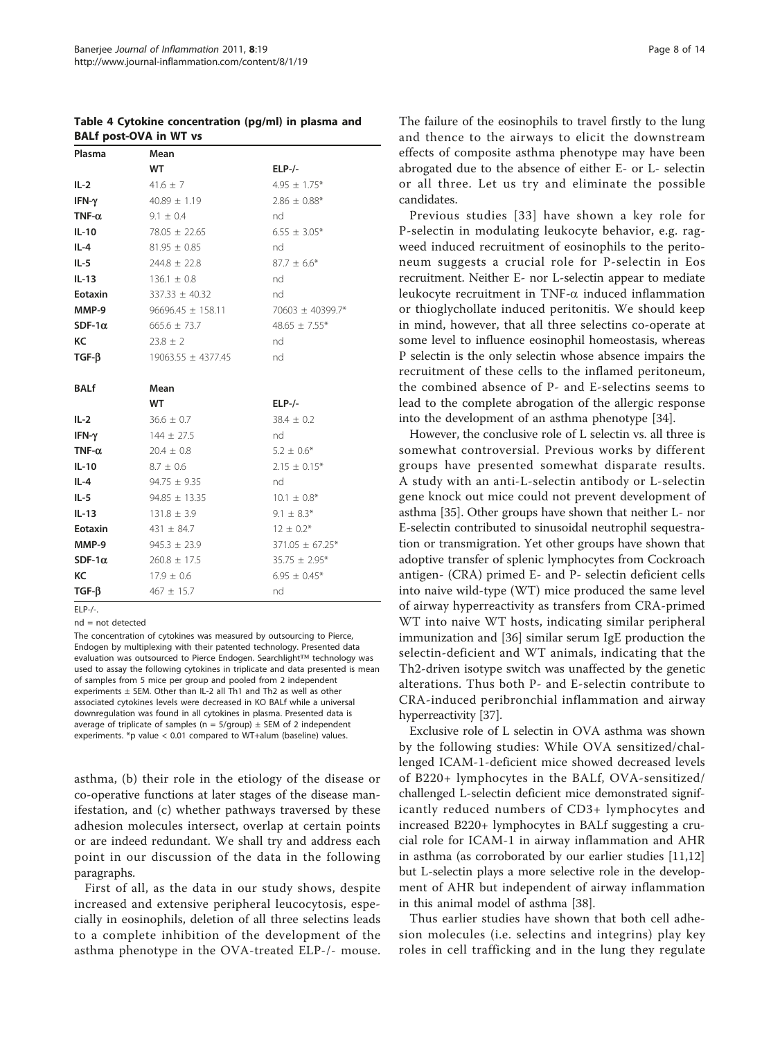<span id="page-7-0"></span>Table 4 Cytokine concentration (pg/ml) in plasma and BALf post-OVA in WT vs

|               | Mean                   |                     |
|---------------|------------------------|---------------------|
|               | <b>WT</b>              | $ELP-/-$            |
| $IL-2$        | $41.6 \pm 7$           | $4.95 \pm 1.75$ *   |
| IFN-Y         | $40.89 \pm 1.19$       | $2.86 \pm 0.88*$    |
| TNF- $\alpha$ | $9.1 \pm 0.4$          | nd                  |
| $IL-10$       | $78.05 \pm 22.65$      | $6.55 \pm 3.05*$    |
| $IL-4$        | $81.95 \pm 0.85$       | nd                  |
| $IL-5$        | $244.8 \pm 22.8$       | $87.7 \pm 6.6*$     |
| $IL-13$       | $136.1 \pm 0.8$        | nd                  |
| Eotaxin       | $337.33 \pm 40.32$     | nd                  |
| MMP-9         | $96696.45 \pm 158.11$  | 70603 ± 40399.7*    |
| $SDF-1\alpha$ | $665.6 + 73.7$         | $48.65 \pm 7.55$ *  |
| КC            | $23.8 \pm 2$           | nd                  |
| $TGF-B$       | $19063.55 \pm 4377.45$ | nd                  |
|               |                        |                     |
| <b>BALf</b>   | Mean                   |                     |
|               |                        |                     |
|               | <b>WT</b>              | $ELP-/-$            |
| $IL-2$        | $36.6 \pm 0.7$         | $38.4 \pm 0.2$      |
| IFN- $\gamma$ | $144 \pm 27.5$         | nd                  |
| TNF- $\alpha$ | $20.4 \pm 0.8$         | $5.2 \pm 0.6*$      |
| $IL-10$       | $8.7 \pm 0.6$          | $2.15 \pm 0.15*$    |
| $IL-4$        | $94.75 \pm 9.35$       | nd                  |
| $IL-5$        | $94.85 \pm 13.35$      | $10.1 \pm 0.8^*$    |
| $IL-13$       | $131.8 \pm 3.9$        | $9.1 \pm 8.3^*$     |
| Eotaxin       | 431 $\pm$ 84.7         | $12 \pm 0.2^*$      |
| MMP-9         | $945.3 \pm 23.9$       | $371.05 \pm 67.25*$ |
| $SDF-1\alpha$ | $260.8 \pm 17.5$       | $35.75 \pm 2.95*$   |
| KC            | $17.9 \pm 0.6$         | $6.95 \pm 0.45*$    |

 $FLP-/-$ 

nd = not detected

The concentration of cytokines was measured by outsourcing to Pierce, Endogen by multiplexing with their patented technology. Presented data evaluation was outsourced to Pierce Endogen. Searchlight™ technology was used to assay the following cytokines in triplicate and data presented is mean of samples from 5 mice per group and pooled from 2 independent experiments ± SEM. Other than IL-2 all Th1 and Th2 as well as other associated cytokines levels were decreased in KO BALf while a universal downregulation was found in all cytokines in plasma. Presented data is average of triplicate of samples ( $n = 5$ /group)  $\pm$  SEM of 2 independent experiments. \*p value < 0.01 compared to WT+alum (baseline) values.

asthma, (b) their role in the etiology of the disease or co-operative functions at later stages of the disease manifestation, and (c) whether pathways traversed by these adhesion molecules intersect, overlap at certain points or are indeed redundant. We shall try and address each point in our discussion of the data in the following paragraphs.

First of all, as the data in our study shows, despite increased and extensive peripheral leucocytosis, especially in eosinophils, deletion of all three selectins leads to a complete inhibition of the development of the asthma phenotype in the OVA-treated ELP-/- mouse. The failure of the eosinophils to travel firstly to the lung and thence to the airways to elicit the downstream effects of composite asthma phenotype may have been abrogated due to the absence of either E- or L- selectin or all three. Let us try and eliminate the possible candidates.

Previous studies [[33\]](#page-13-0) have shown a key role for P-selectin in modulating leukocyte behavior, e.g. ragweed induced recruitment of eosinophils to the peritoneum suggests a crucial role for P-selectin in Eos recruitment. Neither E- nor L-selectin appear to mediate leukocyte recruitment in TNF- $\alpha$  induced inflammation or thioglychollate induced peritonitis. We should keep in mind, however, that all three selectins co-operate at some level to influence eosinophil homeostasis, whereas P selectin is the only selectin whose absence impairs the recruitment of these cells to the inflamed peritoneum, the combined absence of P- and E-selectins seems to lead to the complete abrogation of the allergic response into the development of an asthma phenotype [\[34\]](#page-13-0).

However, the conclusive role of L selectin vs. all three is somewhat controversial. Previous works by different groups have presented somewhat disparate results. A study with an anti-L-selectin antibody or L-selectin gene knock out mice could not prevent development of asthma [\[35\]](#page-13-0). Other groups have shown that neither L- nor E-selectin contributed to sinusoidal neutrophil sequestration or transmigration. Yet other groups have shown that adoptive transfer of splenic lymphocytes from Cockroach antigen- (CRA) primed E- and P- selectin deficient cells into naive wild-type (WT) mice produced the same level of airway hyperreactivity as transfers from CRA-primed WT into naive WT hosts, indicating similar peripheral immunization and [\[36\]](#page-13-0) similar serum IgE production the selectin-deficient and WT animals, indicating that the Th2-driven isotype switch was unaffected by the genetic alterations. Thus both P- and E-selectin contribute to CRA-induced peribronchial inflammation and airway hyperreactivity [\[37\]](#page-13-0).

Exclusive role of L selectin in OVA asthma was shown by the following studies: While OVA sensitized/challenged ICAM-1-deficient mice showed decreased levels of B220+ lymphocytes in the BALf, OVA-sensitized/ challenged L-selectin deficient mice demonstrated significantly reduced numbers of CD3+ lymphocytes and increased B220+ lymphocytes in BALf suggesting a crucial role for ICAM-1 in airway inflammation and AHR in asthma (as corroborated by our earlier studies [[11](#page-12-0),[12](#page-12-0)] but L-selectin plays a more selective role in the development of AHR but independent of airway inflammation in this animal model of asthma [[38\]](#page-13-0).

Thus earlier studies have shown that both cell adhesion molecules (i.e. selectins and integrins) play key roles in cell trafficking and in the lung they regulate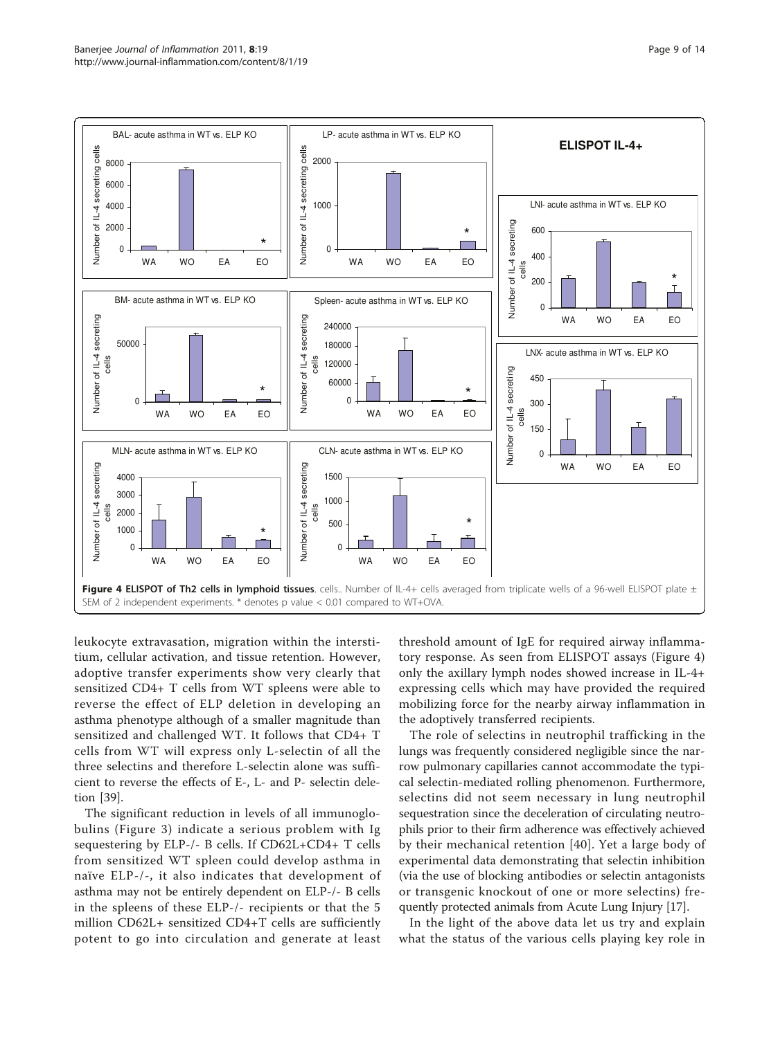<span id="page-8-0"></span>

leukocyte extravasation, migration within the interstitium, cellular activation, and tissue retention. However, adoptive transfer experiments show very clearly that sensitized CD4+ T cells from WT spleens were able to reverse the effect of ELP deletion in developing an asthma phenotype although of a smaller magnitude than sensitized and challenged WT. It follows that CD4+ T cells from WT will express only L-selectin of all the three selectins and therefore L-selectin alone was sufficient to reverse the effects of E-, L- and P- selectin deletion [\[39](#page-13-0)].

The significant reduction in levels of all immunoglobulins (Figure [3](#page-6-0)) indicate a serious problem with Ig sequestering by ELP-/- B cells. If CD62L+CD4+ T cells from sensitized WT spleen could develop asthma in naïve ELP-/-, it also indicates that development of asthma may not be entirely dependent on ELP-/- B cells in the spleens of these ELP-/- recipients or that the 5 million CD62L+ sensitized CD4+T cells are sufficiently potent to go into circulation and generate at least threshold amount of IgE for required airway inflammatory response. As seen from ELISPOT assays (Figure 4) only the axillary lymph nodes showed increase in IL-4+ expressing cells which may have provided the required mobilizing force for the nearby airway inflammation in the adoptively transferred recipients.

The role of selectins in neutrophil trafficking in the lungs was frequently considered negligible since the narrow pulmonary capillaries cannot accommodate the typical selectin-mediated rolling phenomenon. Furthermore, selectins did not seem necessary in lung neutrophil sequestration since the deceleration of circulating neutrophils prior to their firm adherence was effectively achieved by their mechanical retention [\[40\]](#page-13-0). Yet a large body of experimental data demonstrating that selectin inhibition (via the use of blocking antibodies or selectin antagonists or transgenic knockout of one or more selectins) frequently protected animals from Acute Lung Injury [[17](#page-12-0)].

In the light of the above data let us try and explain what the status of the various cells playing key role in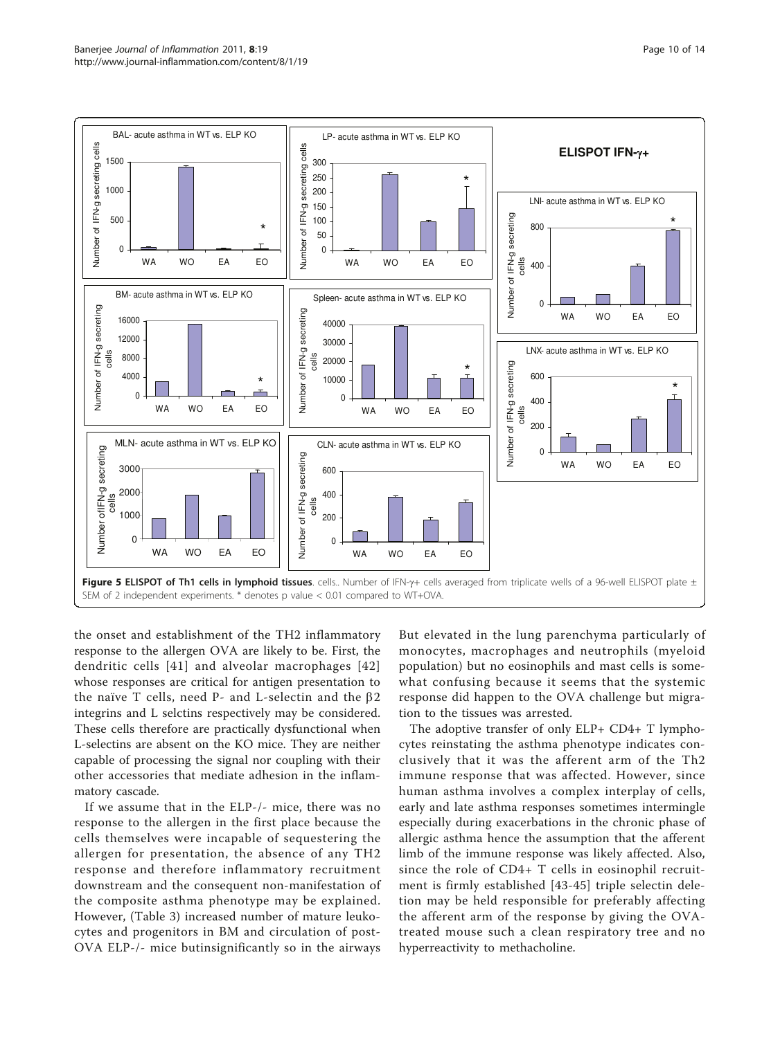<span id="page-9-0"></span>

the onset and establishment of the TH2 inflammatory response to the allergen OVA are likely to be. First, the dendritic cells [[41\]](#page-13-0) and alveolar macrophages [[42](#page-13-0)] whose responses are critical for antigen presentation to the naïve T cells, need P- and L-selectin and the  $\beta$ 2 integrins and L selctins respectively may be considered. These cells therefore are practically dysfunctional when L-selectins are absent on the KO mice. They are neither capable of processing the signal nor coupling with their other accessories that mediate adhesion in the inflammatory cascade.

If we assume that in the ELP-/- mice, there was no response to the allergen in the first place because the cells themselves were incapable of sequestering the allergen for presentation, the absence of any TH2 response and therefore inflammatory recruitment downstream and the consequent non-manifestation of the composite asthma phenotype may be explained. However, (Table [3\)](#page-6-0) increased number of mature leukocytes and progenitors in BM and circulation of post-OVA ELP-/- mice butinsignificantly so in the airways

But elevated in the lung parenchyma particularly of monocytes, macrophages and neutrophils (myeloid population) but no eosinophils and mast cells is somewhat confusing because it seems that the systemic response did happen to the OVA challenge but migration to the tissues was arrested.

The adoptive transfer of only ELP+ CD4+ T lymphocytes reinstating the asthma phenotype indicates conclusively that it was the afferent arm of the Th2 immune response that was affected. However, since human asthma involves a complex interplay of cells, early and late asthma responses sometimes intermingle especially during exacerbations in the chronic phase of allergic asthma hence the assumption that the afferent limb of the immune response was likely affected. Also, since the role of CD4+ T cells in eosinophil recruitment is firmly established [[43](#page-13-0)-[45](#page-13-0)] triple selectin deletion may be held responsible for preferably affecting the afferent arm of the response by giving the OVAtreated mouse such a clean respiratory tree and no hyperreactivity to methacholine.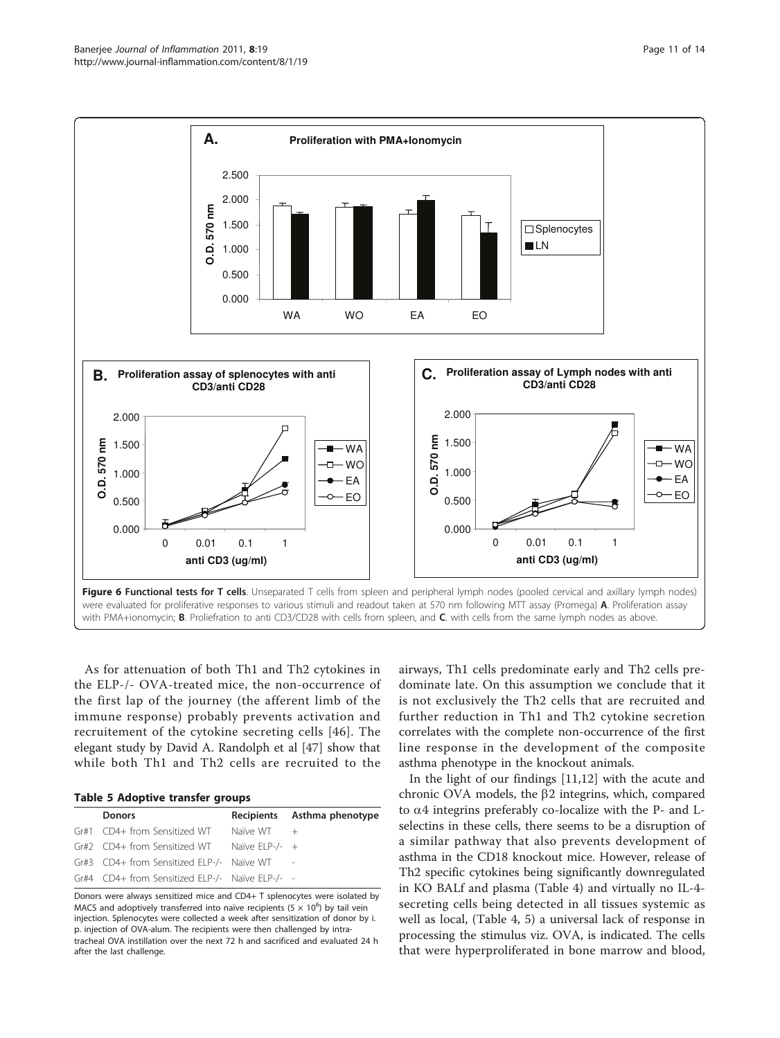

<span id="page-10-0"></span>

As for attenuation of both Th1 and Th2 cytokines in the ELP-/- OVA-treated mice, the non-occurrence of the first lap of the journey (the afferent limb of the immune response) probably prevents activation and recruitement of the cytokine secreting cells [[46](#page-13-0)]. The elegant study by David A. Randolph et al [[47\]](#page-13-0) show that while both Th1 and Th2 cells are recruited to the

|  | <b>Table 5 Adoptive transfer groups</b> |  |  |
|--|-----------------------------------------|--|--|
|--|-----------------------------------------|--|--|

| <b>Donors</b>                                   |                   | Recipients Asthma phenotype |
|-------------------------------------------------|-------------------|-----------------------------|
| Gr#1 CD4+ from Sensitized WT                    | Naïve WT $+$      |                             |
| Gr#2 CD4+ from Sensitized WT                    | Naïve El P-/- $+$ |                             |
| Gr#3 CD4+ from Sensitized ELP-/- Naïve WT       |                   |                             |
| Gr#4 CD4+ from Sensitized ELP-/- Naïve ELP-/- - |                   |                             |

Donors were always sensitized mice and CD4+ T splenocytes were isolated by MACS and adoptively transferred into naïve recipients (5  $\times$  10<sup>6</sup>) by tail vein injection. Splenocytes were collected a week after sensitization of donor by i. p. injection of OVA-alum. The recipients were then challenged by intratracheal OVA instillation over the next 72 h and sacrificed and evaluated 24 h after the last challenge.

airways, Th1 cells predominate early and Th2 cells predominate late. On this assumption we conclude that it is not exclusively the Th2 cells that are recruited and further reduction in Th1 and Th2 cytokine secretion correlates with the complete non-occurrence of the first line response in the development of the composite asthma phenotype in the knockout animals.

In the light of our findings [[11,12\]](#page-12-0) with the acute and chronic OVA models, the  $\beta$ 2 integrins, which, compared to  $\alpha$ 4 integrins preferably co-localize with the P- and Lselectins in these cells, there seems to be a disruption of a similar pathway that also prevents development of asthma in the CD18 knockout mice. However, release of Th2 specific cytokines being significantly downregulated in KO BALf and plasma (Table [4\)](#page-7-0) and virtually no IL-4 secreting cells being detected in all tissues systemic as well as local, (Table [4](#page-7-0), 5) a universal lack of response in processing the stimulus viz. OVA, is indicated. The cells that were hyperproliferated in bone marrow and blood,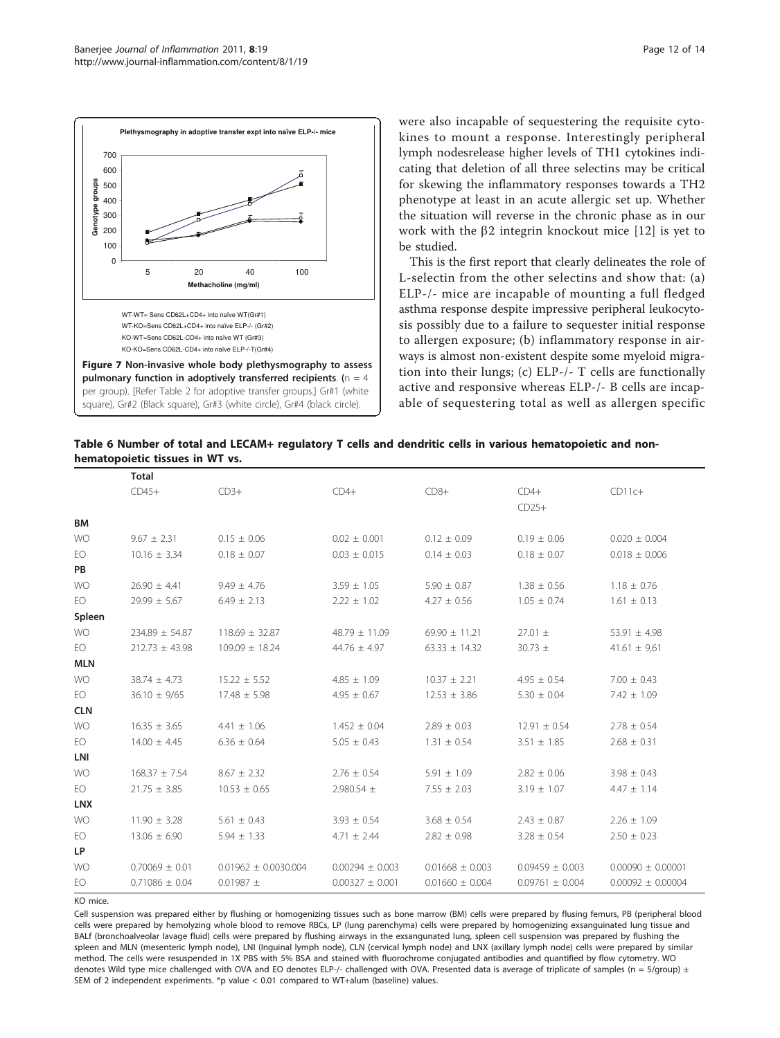<span id="page-11-0"></span>

pulmonary function in adoptively transferred recipients. ( $n=4$ per group). [Refer Table 2 for adoptive transfer groups.] Gr#1 (white square), Gr#2 (Black square), Gr#3 (white circle), Gr#4 (black circle).

were also incapable of sequestering the requisite cytokines to mount a response. Interestingly peripheral lymph nodesrelease higher levels of TH1 cytokines indicating that deletion of all three selectins may be critical for skewing the inflammatory responses towards a TH2 phenotype at least in an acute allergic set up. Whether the situation will reverse in the chronic phase as in our work with the  $\beta$ 2 integrin knockout mice [[12\]](#page-12-0) is yet to be studied.

This is the first report that clearly delineates the role of L-selectin from the other selectins and show that: (a) ELP-/- mice are incapable of mounting a full fledged asthma response despite impressive peripheral leukocytosis possibly due to a failure to sequester initial response to allergen exposure; (b) inflammatory response in airways is almost non-existent despite some myeloid migration into their lungs; (c) ELP-/- T cells are functionally active and responsive whereas ELP-/- B cells are incapable of sequestering total as well as allergen specific

| Table 6 Number of total and LECAM+ regulatory T cells and dendritic cells in various hematopoietic and non- |  |  |  |  |
|-------------------------------------------------------------------------------------------------------------|--|--|--|--|
| hematopoietic tissues in WT vs.                                                                             |  |  |  |  |

|            | <b>Total</b>       |                          |                     |                     |                     |                       |
|------------|--------------------|--------------------------|---------------------|---------------------|---------------------|-----------------------|
|            | $CD45+$            | $CD3+$                   | $CD4+$              | $CD8+$              | $CD4+$<br>$CD25+$   | $CD11c+$              |
| <b>BM</b>  |                    |                          |                     |                     |                     |                       |
| <b>WO</b>  | $9.67 \pm 2.31$    | $0.15 \pm 0.06$          | $0.02 \pm 0.001$    | $0.12 \pm 0.09$     | $0.19 \pm 0.06$     | $0.020 \pm 0.004$     |
| EO         | $10.16 \pm 3.34$   | $0.18 \pm 0.07$          | $0.03 \pm 0.015$    | $0.14 \pm 0.03$     | $0.18 \pm 0.07$     | $0.018 \pm 0.006$     |
| PB         |                    |                          |                     |                     |                     |                       |
| <b>WO</b>  | $26.90 \pm 4.41$   | $9.49 \pm 4.76$          | $3.59 \pm 1.05$     | $5.90 \pm 0.87$     | $1.38 \pm 0.56$     | $1.18 \pm 0.76$       |
| EO         | $29.99 \pm 5.67$   | $6.49 \pm 2.13$          | $2.22 \pm 1.02$     | $4.27 \pm 0.56$     | $1.05 \pm 0.74$     | $1.61 \pm 0.13$       |
| Spleen     |                    |                          |                     |                     |                     |                       |
| <b>WO</b>  | $234.89 \pm 54.87$ | $118.69 \pm 32.87$       | $48.79 \pm 11.09$   | $69.90 \pm 11.21$   | $27.01 \pm$         | 53.91 $\pm$ 4.98      |
| EO         | $212.73 \pm 43.98$ | $109.09 \pm 18.24$       | $44.76 \pm 4.97$    | $63.33 \pm 14.32$   | $30.73 \pm$         | $41.61 \pm 9.61$      |
| <b>MLN</b> |                    |                          |                     |                     |                     |                       |
| <b>WO</b>  | $38.74 \pm 4.73$   | $15.22 \pm 5.52$         | $4.85 \pm 1.09$     | $10.37 \pm 2.21$    | $4.95 \pm 0.54$     | $7.00 \pm 0.43$       |
| EO         | $36.10 \pm 9/65$   | $17.48 \pm 5.98$         | $4.95 \pm 0.67$     | $12.53 \pm 3.86$    | $5.30 \pm 0.04$     | $7.42 \pm 1.09$       |
| <b>CLN</b> |                    |                          |                     |                     |                     |                       |
| <b>WO</b>  | $16.35 \pm 3.65$   | $4.41 \pm 1.06$          | $1.452 \pm 0.04$    | $2.89 \pm 0.03$     | $12.91 \pm 0.54$    | $2.78 \pm 0.54$       |
| EO         | $14.00 \pm 4.45$   | $6.36 \pm 0.64$          | $5.05 \pm 0.43$     | $1.31 \pm 0.54$     | $3.51 \pm 1.85$     | $2.68 \pm 0.31$       |
| LNI        |                    |                          |                     |                     |                     |                       |
| <b>WO</b>  | $168.37 \pm 7.54$  | $8.67 \pm 2.32$          | $2.76 \pm 0.54$     | $5.91 \pm 1.09$     | $2.82 \pm 0.06$     | $3.98 \pm 0.43$       |
| EO         | $21.75 \pm 3.85$   | $10.53 \pm 0.65$         | 2.980.54 $\pm$      | $7.55 \pm 2.03$     | $3.19 \pm 1.07$     | $4.47 \pm 1.14$       |
| <b>LNX</b> |                    |                          |                     |                     |                     |                       |
| <b>WO</b>  | $11.90 \pm 3.28$   | $5.61 \pm 0.43$          | $3.93 \pm 0.54$     | $3.68 \pm 0.54$     | $2.43 \pm 0.87$     | $2.26 \pm 1.09$       |
| EO         | $13.06 \pm 6.90$   | $5.94 \pm 1.33$          | $4.71 \pm 2.44$     | $2.82 \pm 0.98$     | $3.28 \pm 0.54$     | $2.50 \pm 0.23$       |
| LP         |                    |                          |                     |                     |                     |                       |
| <b>WO</b>  | $0.70069 \pm 0.01$ | $0.01962 \pm 0.0030.004$ | $0.00294 \pm 0.003$ | $0.01668 \pm 0.003$ | $0.09459 \pm 0.003$ | $0.00090 \pm 0.00001$ |
| EO         | $0.71086 \pm 0.04$ | $0.01987 \pm$            | $0.00327 \pm 0.001$ | $0.01660 \pm 0.004$ | $0.09761 \pm 0.004$ | $0.00092 \pm 0.00004$ |

KO mice.

Cell suspension was prepared either by flushing or homogenizing tissues such as bone marrow (BM) cells were prepared by flusing femurs, PB (peripheral blood cells were prepared by hemolyzing whole blood to remove RBCs, LP (lung parenchyma) cells were prepared by homogenizing exsanguinated lung tissue and BALf (bronchoalveolar lavage fluid) cells were prepared by flushing airways in the exsangunated lung, spleen cell suspension was prepared by flushing the spleen and MLN (mesenteric lymph node), LNI (Inguinal lymph node), CLN (cervical lymph node) and LNX (axillary lymph node) cells were prepared by similar method. The cells were resuspended in 1X PBS with 5% BSA and stained with fluorochrome conjugated antibodies and quantified by flow cytometry. WO denotes Wild type mice challenged with OVA and EO denotes ELP-/- challenged with OVA. Presented data is average of triplicate of samples (n = 5/group)  $\pm$ SEM of 2 independent experiments. \*p value < 0.01 compared to WT+alum (baseline) values.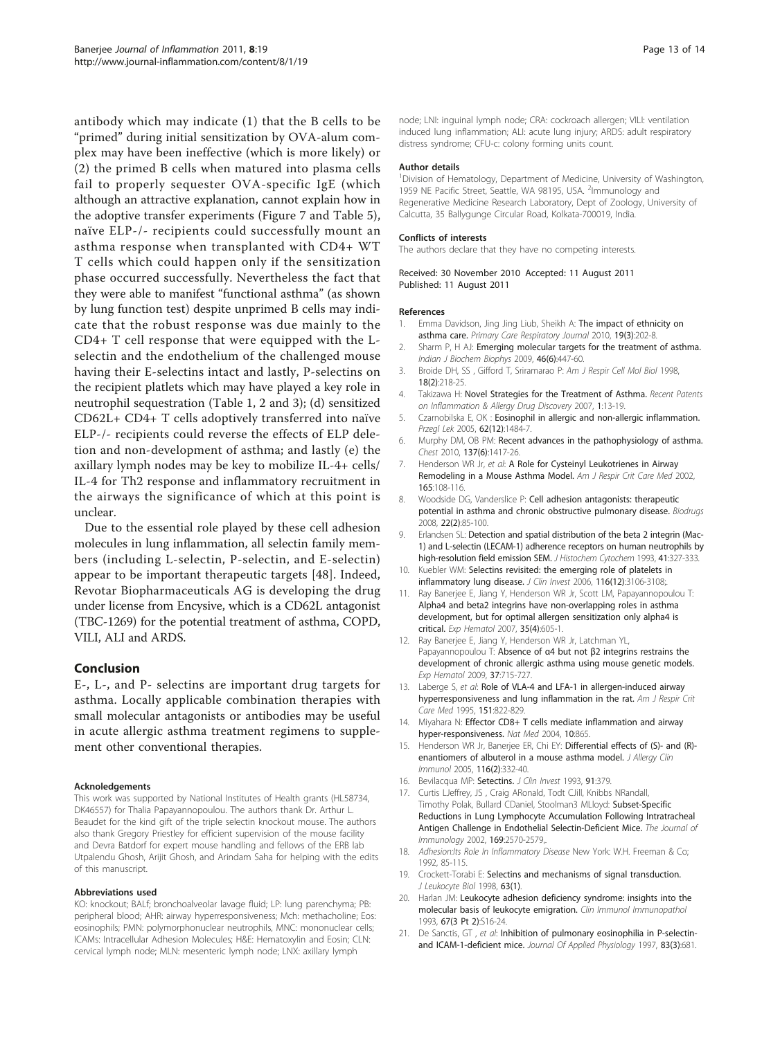<span id="page-12-0"></span>antibody which may indicate (1) that the B cells to be "primed" during initial sensitization by OVA-alum complex may have been ineffective (which is more likely) or (2) the primed B cells when matured into plasma cells fail to properly sequester OVA-specific IgE (which although an attractive explanation, cannot explain how in the adoptive transfer experiments (Figure [7](#page-11-0) and Table [5](#page-10-0)), naïve ELP-/- recipients could successfully mount an asthma response when transplanted with CD4+ WT T cells which could happen only if the sensitization phase occurred successfully. Nevertheless the fact that they were able to manifest "functional asthma" (as shown by lung function test) despite unprimed B cells may indicate that the robust response was due mainly to the CD4+ T cell response that were equipped with the Lselectin and the endothelium of the challenged mouse having their E-selectins intact and lastly, P-selectins on the recipient platlets which may have played a key role in neutrophil sequestration (Table [1](#page-5-0), [2](#page-6-0) and [3\)](#page-6-0); (d) sensitized CD62L+ CD4+ T cells adoptively transferred into naïve ELP-/- recipients could reverse the effects of ELP deletion and non-development of asthma; and lastly (e) the axillary lymph nodes may be key to mobilize IL-4+ cells/ IL-4 for Th2 response and inflammatory recruitment in the airways the significance of which at this point is unclear.

Due to the essential role played by these cell adhesion molecules in lung inflammation, all selectin family members (including L-selectin, P-selectin, and E-selectin) appear to be important therapeutic targets [\[48](#page-13-0)]. Indeed, Revotar Biopharmaceuticals AG is developing the drug under license from Encysive, which is a CD62L antagonist (TBC-1269) for the potential treatment of asthma, COPD, VILI, ALI and ARDS.

#### Conclusion

E-, L-, and P- selectins are important drug targets for asthma. Locally applicable combination therapies with small molecular antagonists or antibodies may be useful in acute allergic asthma treatment regimens to supplement other conventional therapies.

#### Acknoledgements

This work was supported by National Institutes of Health grants (HL58734, DK46557) for Thalia Papayannopoulou. The authors thank Dr. Arthur L. Beaudet for the kind gift of the triple selectin knockout mouse. The authors also thank Gregory Priestley for efficient supervision of the mouse facility and Devra Batdorf for expert mouse handling and fellows of the ERB lab Utpalendu Ghosh, Arijit Ghosh, and Arindam Saha for helping with the edits of this manuscript.

#### Abbreviations used

KO: knockout; BALf; bronchoalveolar lavage fluid; LP: lung parenchyma; PB: peripheral blood; AHR: airway hyperresponsiveness; Mch: methacholine; Eos: eosinophils; PMN: polymorphonuclear neutrophils, MNC: mononuclear cells; ICAMs: Intracellular Adhesion Molecules; H&E: Hematoxylin and Eosin; CLN: cervical lymph node; MLN: mesenteric lymph node; LNX: axillary lymph

node; LNI: inguinal lymph node; CRA: cockroach allergen; VILI: ventilation induced lung inflammation; ALI: acute lung injury; ARDS: adult respiratory distress syndrome; CFU-c: colony forming units count.

#### Author details

<sup>1</sup> Division of Hematology, Department of Medicine, University of Washington, 1959 NE Pacific Street, Seattle, WA 98195, USA. <sup>2</sup>Immunology and Regenerative Medicine Research Laboratory, Dept of Zoology, University of Calcutta, 35 Ballygunge Circular Road, Kolkata-700019, India.

#### Conflicts of interests

The authors declare that they have no competing interests.

#### Received: 30 November 2010 Accepted: 11 August 2011 Published: 11 August 2011

#### References

- 1. Emma Davidson, Jing Jing Liub, Sheikh A: [The impact of ethnicity on](http://www.ncbi.nlm.nih.gov/pubmed/20422142?dopt=Abstract) [asthma care.](http://www.ncbi.nlm.nih.gov/pubmed/20422142?dopt=Abstract) Primary Care Respiratory Journal 2010, 19(3):202-8.
- 2. Sharm P, H AJ: [Emerging molecular targets for the treatment of asthma.](http://www.ncbi.nlm.nih.gov/pubmed/20361708?dopt=Abstract) Indian J Biochem Biophys 2009, 46(6):447-60.
- 3. Broide DH, SS , Gifford T, Sriramarao P: Am J Respir Cell Mol Biol 1998, 18(2):218-25.
- 4. Takizawa H: [Novel Strategies for the Treatment of Asthma.](http://www.ncbi.nlm.nih.gov/pubmed/21824072?dopt=Abstract) Recent Patents on Inflammation & Allergy Drug Discovery 2007, 1:13-19.
- 5. Czarnobilska E, OK : [Eosinophil in allergic and non-allergic inflammation.](http://www.ncbi.nlm.nih.gov/pubmed/16786779?dopt=Abstract) Przegl Lek 2005, 62(12):1484-7.
- 6. Murphy DM, OB PM: [Recent advances in the pathophysiology of asthma.](http://www.ncbi.nlm.nih.gov/pubmed/20525652?dopt=Abstract) Chest 2010, 137(6):1417-26.
- 7. Henderson WR Jr, et al: [A Role for Cysteinyl Leukotrienes in Airway](http://www.ncbi.nlm.nih.gov/pubmed/11779739?dopt=Abstract) [Remodeling in a Mouse Asthma Model.](http://www.ncbi.nlm.nih.gov/pubmed/11779739?dopt=Abstract) Am J Respir Crit Care Med 2002, 165:108-116.
- 8. Woodside DG, Vanderslice P: [Cell adhesion antagonists: therapeutic](http://www.ncbi.nlm.nih.gov/pubmed/18345706?dopt=Abstract) [potential in asthma and chronic obstructive pulmonary disease.](http://www.ncbi.nlm.nih.gov/pubmed/18345706?dopt=Abstract) Biodrugs 2008, 22(2):85-100.
- 9. Erlandsen SL: [Detection and spatial distribution of the beta 2 integrin \(Mac-](http://www.ncbi.nlm.nih.gov/pubmed/7679125?dopt=Abstract)[1\) and L-selectin \(LECAM-1\) adherence receptors on human neutrophils by](http://www.ncbi.nlm.nih.gov/pubmed/7679125?dopt=Abstract) [high-resolution field emission SEM.](http://www.ncbi.nlm.nih.gov/pubmed/7679125?dopt=Abstract) J Histochem Cytochem 1993, 41:327-333.
- 10. Kuebler WM: [Selectins revisited: the emerging role of platelets in](http://www.ncbi.nlm.nih.gov/pubmed/17143325?dopt=Abstract) [inflammatory lung disease.](http://www.ncbi.nlm.nih.gov/pubmed/17143325?dopt=Abstract) J Clin Invest 2006, 116(12):3106-3108;.
- 11. Ray Banerjee E, Jiang Y, Henderson WR Jr, Scott LM, Papayannopoulou T: [Alpha4 and beta2 integrins have non-overlapping roles in asthma](http://www.ncbi.nlm.nih.gov/pubmed/17379071?dopt=Abstract) [development, but for optimal allergen sensitization only alpha4 is](http://www.ncbi.nlm.nih.gov/pubmed/17379071?dopt=Abstract) [critical.](http://www.ncbi.nlm.nih.gov/pubmed/17379071?dopt=Abstract) Exp Hematol 2007, 35(4):605-1.
- 12. Ray Banerjee E, Jiang Y, Henderson WR Jr, Latchman YL, Papayannopoulou T: Absence of α4 but not β[2 integrins restrains the](http://www.ncbi.nlm.nih.gov/pubmed/19463772?dopt=Abstract) [development of chronic allergic asthma using mouse genetic models.](http://www.ncbi.nlm.nih.gov/pubmed/19463772?dopt=Abstract) Exp Hematol 2009, 37:715-727.
- 13. Laberge S, et al: [Role of VLA-4 and LFA-1 in allergen-induced airway](http://www.ncbi.nlm.nih.gov/pubmed/7881677?dopt=Abstract) [hyperresponsiveness and lung inflammation in the rat.](http://www.ncbi.nlm.nih.gov/pubmed/7881677?dopt=Abstract) Am J Respir Crit Care Med 1995, 151:822-829.
- 14. Miyahara N: [Effector CD8+ T cells mediate inflammation and airway](http://www.ncbi.nlm.nih.gov/pubmed/15258576?dopt=Abstract) [hyper-responsiveness.](http://www.ncbi.nlm.nih.gov/pubmed/15258576?dopt=Abstract) Nat Med 2004, 10:865.
- 15. Henderson WR Jr, Banerjee ER, Chi EY: [Differential effects of \(S\)- and \(R\)](http://www.ncbi.nlm.nih.gov/pubmed/16083788?dopt=Abstract) [enantiomers of albuterol in a mouse asthma model.](http://www.ncbi.nlm.nih.gov/pubmed/16083788?dopt=Abstract) J Allergy Clin Immunol 2005, 116(2):332-40.
- 16. Bevilacqua MP: [Setectins.](http://www.ncbi.nlm.nih.gov/pubmed/7679406?dopt=Abstract) J Clin Invest 1993, 91:379.
- 17. Curtis LJeffrey, JS, Craig ARonald, Todt CJill, Knibbs NRandall, Timothy Polak, Bullard CDaniel, Stoolman3 MLloyd: [Subset-Specific](http://www.ncbi.nlm.nih.gov/pubmed/12193727?dopt=Abstract) [Reductions in Lung Lymphocyte Accumulation Following Intratracheal](http://www.ncbi.nlm.nih.gov/pubmed/12193727?dopt=Abstract) [Antigen Challenge in Endothelial Selectin-Deficient Mice.](http://www.ncbi.nlm.nih.gov/pubmed/12193727?dopt=Abstract) The Journal of Immunology 2002, 169:2570-2579,.
- 18. Adhesion:Its Role In Inflammatory Disease New York: W.H. Freeman & Co; 1992, 85-115.
- 19. Crockett-Torabi E: Selectins and mechanisms of signal transduction. J Leukocyte Biol 1998, 63(1).
- 20. Harlan JM: [Leukocyte adhesion deficiency syndrome: insights into the](http://www.ncbi.nlm.nih.gov/pubmed/8500276?dopt=Abstract) [molecular basis of leukocyte emigration.](http://www.ncbi.nlm.nih.gov/pubmed/8500276?dopt=Abstract) Clin Immunol Immunopathol 1993, 67(3 Pt 2):S16-24.
- 21. De Sanctis, GT, et al: [Inhibition of pulmonary eosinophilia in P-selectin](http://www.ncbi.nlm.nih.gov/pubmed/9292449?dopt=Abstract)[and ICAM-1-deficient mice.](http://www.ncbi.nlm.nih.gov/pubmed/9292449?dopt=Abstract) Journal Of Applied Physiology 1997, 83(3):681.